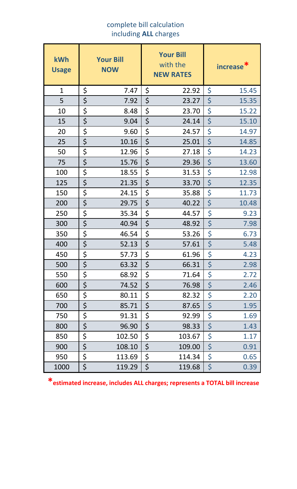## complete bill calculation including **ALL** charges

| kWh<br><b>Usage</b> | <b>Your Bill</b><br><b>NOW</b> | <b>Your Bill</b><br>with the<br><b>NEW RATES</b> | increase <sup>*</sup> |
|---------------------|--------------------------------|--------------------------------------------------|-----------------------|
| $\mathbf{1}$        | \$<br>7.47                     | \$<br>22.92                                      | \$<br>15.45           |
| 5                   | \$<br>7.92                     | \$<br>23.27                                      | \$<br>15.35           |
| 10                  | \$<br>8.48                     | \$<br>23.70                                      | \$<br>15.22           |
| 15                  | \$<br>9.04                     | \$<br>24.14                                      | \$<br>15.10           |
| 20                  | \$<br>9.60                     | \$<br>24.57                                      | \$<br>14.97           |
| 25                  | \$<br>10.16                    | \$<br>25.01                                      | \$<br>14.85           |
| 50                  | \$<br>12.96                    | \$<br>27.18                                      | \$<br>14.23           |
| 75                  | \$<br>15.76                    | \$<br>29.36                                      | \$<br>13.60           |
| 100                 | \$<br>18.55                    | \$<br>31.53                                      | \$<br>12.98           |
| 125                 | \$<br>21.35                    | \$<br>33.70                                      | \$<br>12.35           |
| 150                 | \$<br>24.15                    | \$<br>35.88                                      | \$<br>11.73           |
| 200                 | \$<br>29.75                    | \$<br>40.22                                      | \$<br>10.48           |
| 250                 | \$<br>35.34                    | \$<br>44.57                                      | \$<br>9.23            |
| 300                 | \$<br>40.94                    | \$<br>48.92                                      | \$<br>7.98            |
| 350                 | \$<br>46.54                    | \$<br>53.26                                      | \$<br>6.73            |
| 400                 | \$<br>52.13                    | \$<br>57.61                                      | \$<br>5.48            |
| 450                 | \$<br>57.73                    | \$<br>61.96                                      | \$<br>4.23            |
| 500                 | \$<br>63.32                    | \$<br>66.31                                      | \$<br>2.98            |
| 550                 | \$<br>68.92                    | \$<br>71.64                                      | \$<br>2.72            |
| 600                 | \$<br>74.52                    | \$<br>76.98                                      | \$<br>2.46            |
| 650                 | \$<br>80.11                    | \$<br>82.32                                      | \$<br>2.20            |
| 700                 | \$<br>85.71                    | \$<br>87.65                                      | \$<br>1.95            |
| 750                 | \$<br>91.31                    | \$<br>92.99                                      | \$<br>1.69            |
| 800                 | \$<br>96.90                    | \$<br>98.33                                      | \$<br>1.43            |
| 850                 | \$<br>102.50                   | \$<br>103.67                                     | \$<br>1.17            |
| 900                 | \$<br>108.10                   | \$<br>109.00                                     | \$<br>0.91            |
| 950                 | \$<br>113.69                   | \$<br>114.34                                     | \$<br>0.65            |
| 1000                | \$<br>119.29                   | \$<br>119.68                                     | \$<br>0.39            |

**\*estimated increase, includes ALL charges; represents a TOTAL bill increase**